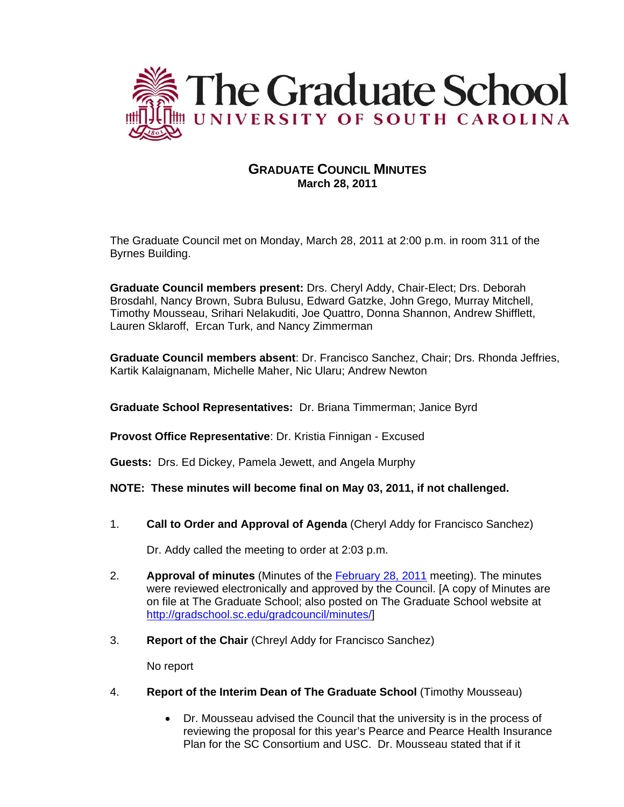

## **GRADUATE COUNCIL MINUTES March 28, 2011**

The Graduate Council met on Monday, March 28, 2011 at 2:00 p.m. in room 311 of the Byrnes Building.

**Graduate Council members present:** Drs. Cheryl Addy, Chair-Elect; Drs. Deborah Brosdahl, Nancy Brown, Subra Bulusu, Edward Gatzke, John Grego, Murray Mitchell, Timothy Mousseau, Srihari Nelakuditi, Joe Quattro, Donna Shannon, Andrew Shifflett, Lauren Sklaroff, Ercan Turk, and Nancy Zimmerman

**Graduate Council members absent**: Dr. Francisco Sanchez, Chair; Drs. Rhonda Jeffries, Kartik Kalaignanam, Michelle Maher, Nic Ularu; Andrew Newton

**Graduate School Representatives:** Dr. Briana Timmerman; Janice Byrd

**Provost Office Representative**: Dr. Kristia Finnigan - Excused

**Guests:** Drs. Ed Dickey, Pamela Jewett, and Angela Murphy

**NOTE: These minutes will become final on May 03, 2011, if not challenged.**

1. **Call to Order and Approval of Agenda** (Cheryl Addy for Francisco Sanchez)

Dr. Addy called the meeting to order at 2:03 p.m.

- 2. **Approval of minutes** (Minutes of the [February 28, 2011](http://gradschool.sc.edu/gradcouncil/minutes/GCMinutes%20022811.pdf) meeting). The minutes were reviewed electronically and approved by the Council. [A copy of Minutes are on file at The Graduate School; also posted on The Graduate School website at [http://gradschool.sc.edu/gradcouncil/minutes/\]](http://gradschool.sc.edu/gradcouncil/minutes/)
- 3. **Report of the Chair** (Chreyl Addy for Francisco Sanchez)

No report

- 4. **Report of the Interim Dean of The Graduate School** (Timothy Mousseau)
	- Dr. Mousseau advised the Council that the university is in the process of reviewing the proposal for this year's Pearce and Pearce Health Insurance Plan for the SC Consortium and USC. Dr. Mousseau stated that if it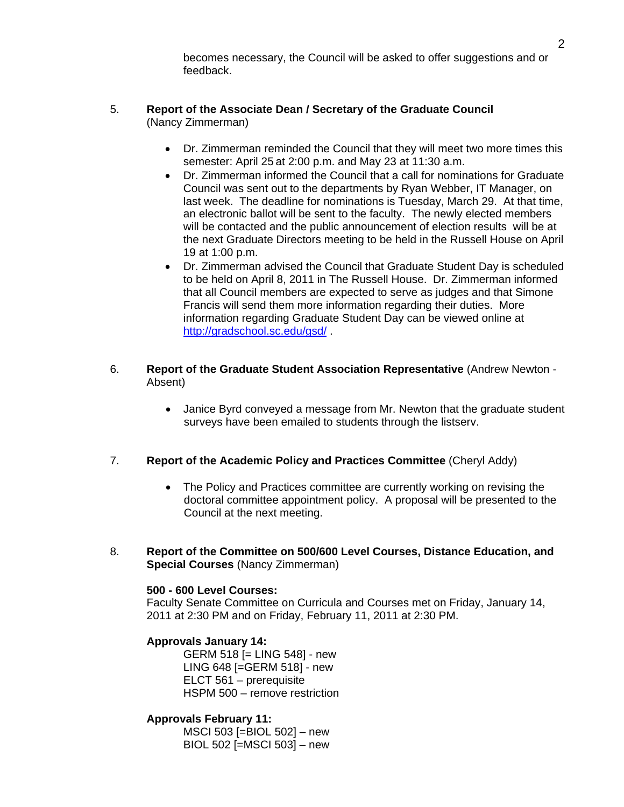becomes necessary, the Council will be asked to offer suggestions and or feedback.

#### 5. **Report of the Associate Dean / Secretary of the Graduate Council**  (Nancy Zimmerman)

- Dr. Zimmerman reminded the Council that they will meet two more times this semester: April 25 at 2:00 p.m. and May 23 at 11:30 a.m.
- Dr. Zimmerman informed the Council that a call for nominations for Graduate Council was sent out to the departments by Ryan Webber, IT Manager, on last week. The deadline for nominations is Tuesday, March 29. At that time, an electronic ballot will be sent to the faculty. The newly elected members will be contacted and the public announcement of election results will be at the next Graduate Directors meeting to be held in the Russell House on April 19 at 1:00 p.m.
- Dr. Zimmerman advised the Council that Graduate Student Day is scheduled to be held on April 8, 2011 in The Russell House. Dr. Zimmerman informed that all Council members are expected to serve as judges and that Simone Francis will send them more information regarding their duties. More information regarding Graduate Student Day can be viewed online at <http://gradschool.sc.edu/gsd/>.
- 6. **Report of the Graduate Student Association Representative** (Andrew Newton Absent)
	- Janice Byrd conveyed a message from Mr. Newton that the graduate student surveys have been emailed to students through the listserv.

## 7. **Report of the Academic Policy and Practices Committee** (Cheryl Addy)

- The Policy and Practices committee are currently working on revising the doctoral committee appointment policy. A proposal will be presented to the Council at the next meeting.
- 8. **Report of the Committee on 500/600 Level Courses, Distance Education, and Special Courses** (Nancy Zimmerman)

#### **500 - 600 Level Courses:**

Faculty Senate Committee on Curricula and Courses met on Friday, January 14, 2011 at 2:30 PM and on Friday, February 11, 2011 at 2:30 PM.

## **Approvals January 14:**

 GERM 518 [= LING 548] - new LING 648 [=GERM 518] - new ELCT 561 – prerequisite HSPM 500 – remove restriction

## **Approvals February 11:**

 MSCI 503 [=BIOL 502] – new BIOL 502 [=MSCI 503] – new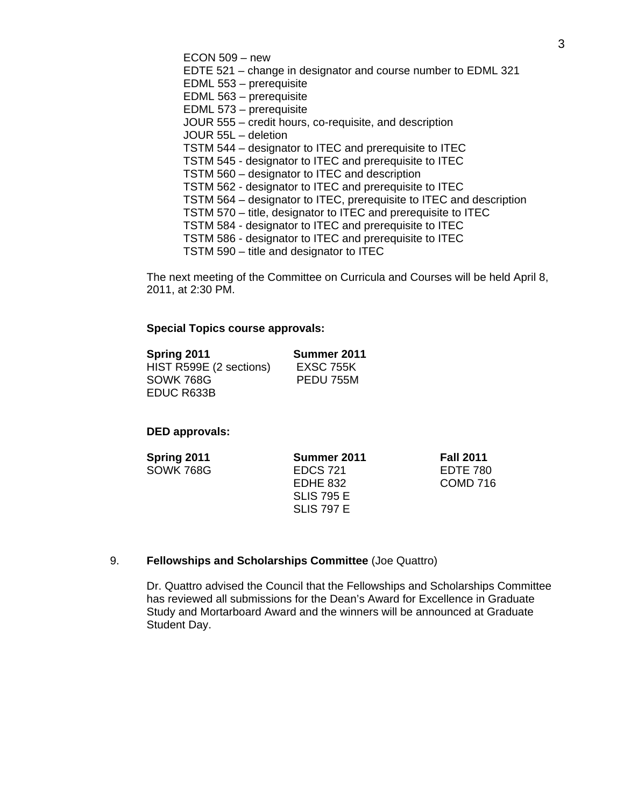ECON 509 – new EDTE 521 – change in designator and course number to EDML 321 EDML 553 – prerequisite EDML 563 – prerequisite EDML 573 – prerequisite JOUR 555 – credit hours, co-requisite, and description JOUR 55L – deletion TSTM 544 – designator to ITEC and prerequisite to ITEC TSTM 545 - designator to ITEC and prerequisite to ITEC TSTM 560 – designator to ITEC and description TSTM 562 - designator to ITEC and prerequisite to ITEC TSTM 564 – designator to ITEC, prerequisite to ITEC and description TSTM 570 – title, designator to ITEC and prerequisite to ITEC TSTM 584 - designator to ITEC and prerequisite to ITEC TSTM 586 - designator to ITEC and prerequisite to ITEC

TSTM 590 – title and designator to ITEC

The next meeting of the Committee on Curricula and Courses will be held April 8, 2011, at 2:30 PM.

#### **Special Topics course approvals:**

| Spring 2011             | Summer 2011      |
|-------------------------|------------------|
| HIST R599E (2 sections) | <b>EXSC 755K</b> |
| SOWK 768G               | PEDU 755M        |
| EDUC R633B              |                  |

### **DED approvals:**

| Spring 2011      | Summer 2011       |
|------------------|-------------------|
| <b>SOWK 768G</b> | <b>EDCS 721</b>   |
|                  | EDHE 832          |
|                  | <b>SLIS 795 E</b> |
|                  | <b>SLIS 797 E</b> |

**Fall 2011** EDTE 780 COMD 716

## 9. **Fellowships and Scholarships Committee** (Joe Quattro)

Dr. Quattro advised the Council that the Fellowships and Scholarships Committee has reviewed all submissions for the Dean's Award for Excellence in Graduate Study and Mortarboard Award and the winners will be announced at Graduate Student Day.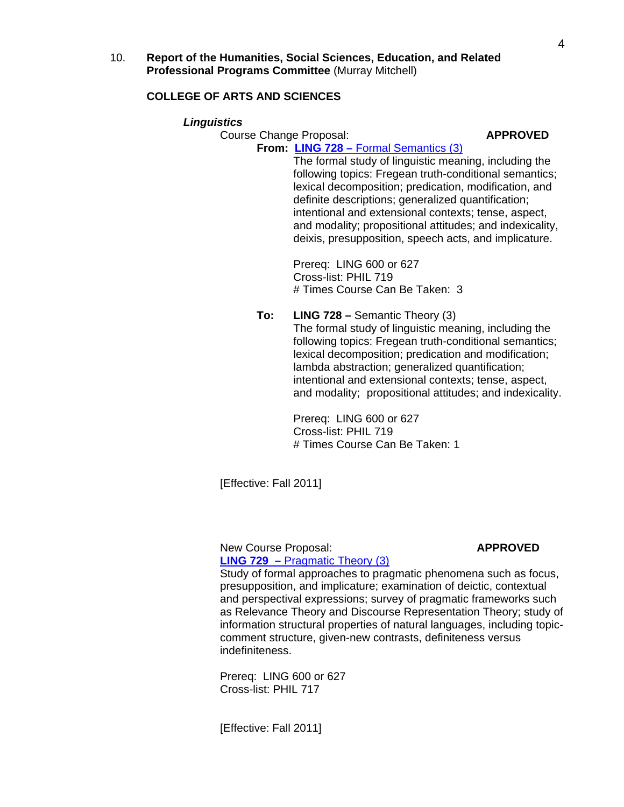10. **Report of the Humanities, Social Sciences, Education, and Related Professional Programs Committee** (Murray Mitchell)

## **COLLEGE OF ARTS AND SCIENCES**

#### *Linguistics*

Course Change Proposal: **APPROVED** 

#### **From: LING 728 –** [Formal Semantics \(3\)](http://gradschool.sc.edu/gradcouncil/curr_docs/CCPLING728_201111.pdf)

 The formal study of linguistic meaning, including the following topics: Fregean truth-conditional semantics; lexical decomposition; predication, modification, and definite descriptions; generalized quantification; intentional and extensional contexts; tense, aspect, and modality; propositional attitudes; and indexicality, deixis, presupposition, speech acts, and implicature.

 Prereq: LING 600 or 627 Cross-list: PHIL 719 # Times Course Can Be Taken: 3

**To: LING 728 –** Semantic Theory (3) The formal study of linguistic meaning, including the following topics: Fregean truth-conditional semantics; lexical decomposition; predication and modification; lambda abstraction; generalized quantification; intentional and extensional contexts; tense, aspect, and modality; propositional attitudes; and indexicality.

> Prereq: LING 600 or 627 Cross-list: PHIL 719 # Times Course Can Be Taken: 1

[Effective: Fall 2011]

 New Course Proposal: **APPROVED LING 729 –** [Pragmatic Theory \(3\)](http://gradschool.sc.edu/gradcouncil/curr_docs/NCPLING729_201111.pdf)

Study of formal approaches to pragmatic phenomena such as focus, presupposition, and implicature; examination of deictic, contextual and perspectival expressions; survey of pragmatic frameworks such as Relevance Theory and Discourse Representation Theory; study of information structural properties of natural languages, including topic comment structure, given-new contrasts, definiteness versus indefiniteness.

 Prereq: LING 600 or 627 Cross-list: PHIL 717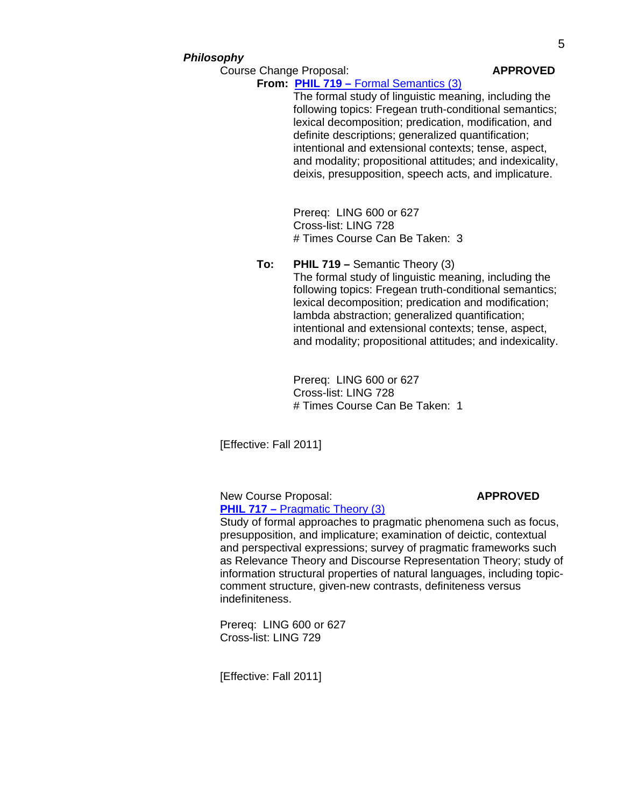#### *Philosophy*

Course Change Proposal: **APPROVED** 

## **From: PHIL 719 –** [Formal Semantics \(3\)](http://gradschool.sc.edu/gradcouncil/curr_docs/CCPPHIL719_201111.pdf)

 The formal study of linguistic meaning, including the following topics: Fregean truth-conditional semantics; lexical decomposition; predication, modification, and definite descriptions; generalized quantification; intentional and extensional contexts; tense, aspect, and modality; propositional attitudes; and indexicality, deixis, presupposition, speech acts, and implicature.

 Prereq: LING 600 or 627 Cross-list: LING 728 # Times Course Can Be Taken: 3

#### **To: PHIL 719 –** Semantic Theory (3)

 The formal study of linguistic meaning, including the following topics: Fregean truth-conditional semantics; lexical decomposition; predication and modification; lambda abstraction; generalized quantification; intentional and extensional contexts; tense, aspect, and modality; propositional attitudes; and indexicality.

 Prereq: LING 600 or 627 Cross-list: LING 728 # Times Course Can Be Taken: 1

[Effective: Fall 2011]

New Course Proposal: **APPROVED PHIL 717 – [Pragmatic Theory \(3\)](http://gradschool.sc.edu/gradcouncil/curr_docs/NCPPHIL717_201111.pdf)** 

Study of formal approaches to pragmatic phenomena such as focus, presupposition, and implicature; examination of deictic, contextual and perspectival expressions; survey of pragmatic frameworks such as Relevance Theory and Discourse Representation Theory; study of information structural properties of natural languages, including topic comment structure, given-new contrasts, definiteness versus indefiniteness.

 Prereq: LING 600 or 627 Cross-list: LING 729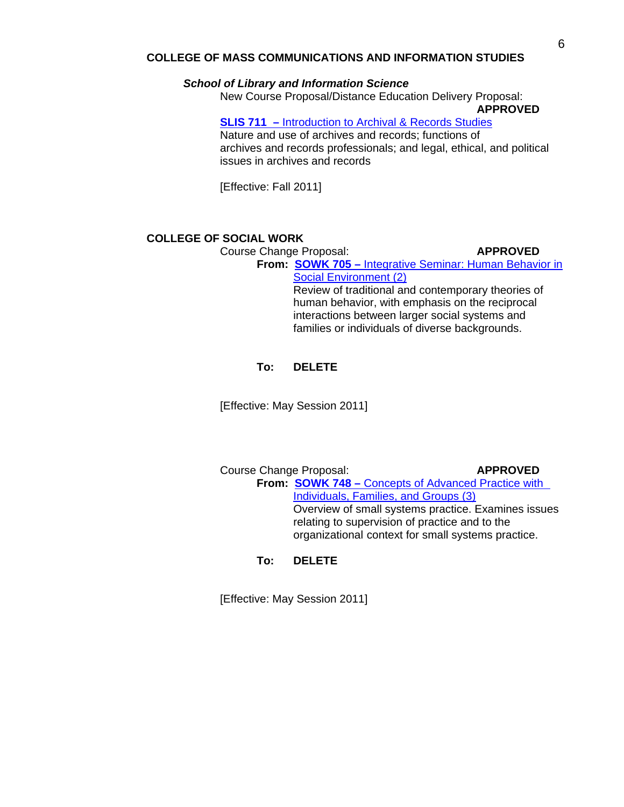## **COLLEGE OF MASS COMMUNICATIONS AND INFORMATION STUDIES**

#### *School of Library and Information Science*

 New Course Proposal/Distance Education Delivery Proposal:  **APPROVED**

**SLIS 711 –** [Introduction to Archival & Records Studies](http://gradschool.sc.edu/gradcouncil/curr_docs/NCPDEDSLIS711_201111.pdf)

Nature and use of archives and records; functions of archives and records professionals; and legal, ethical, and political issues in archives and records

[Effective: Fall 2011]

## **COLLEGE OF SOCIAL WORK**

Course Change Proposal: **APPROVED** 

**From: SOWK 705 –** [Integrative Seminar: Human Behavior in](http://gradschool.sc.edu/gradcouncil/curr_docs/CCPSOWK705_201111.pdf)   [Social Environment \(2\)](http://gradschool.sc.edu/gradcouncil/curr_docs/CCPSOWK705_201111.pdf) Review of traditional and contemporary theories of human behavior, with emphasis on the reciprocal interactions between larger social systems and

families or individuals of diverse backgrounds.

#### **To: DELETE**

[Effective: May Session 2011]

Course Change Proposal: **APPROVED From: SOWK 748 –** [Concepts of Advanced Practice with](http://gradschool.sc.edu/gradcouncil/curr_docs/CCPSOWK748_201111.pdf)   [Individuals, Families, and Groups \(3\)](http://gradschool.sc.edu/gradcouncil/curr_docs/CCPSOWK748_201111.pdf) Overview of small systems practice. Examines issues relating to supervision of practice and to the organizational context for small systems practice.

## **To: DELETE**

[Effective: May Session 2011]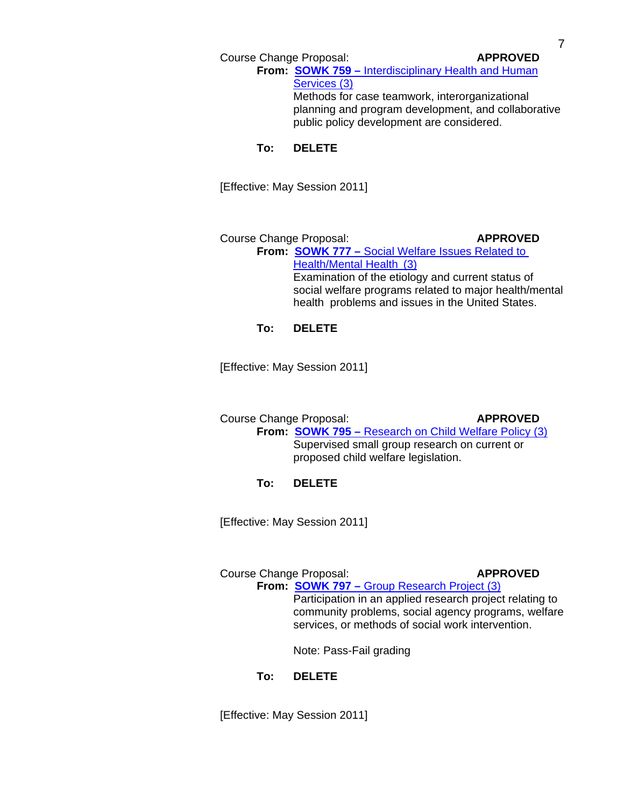**From: SOWK 759 –** [Interdisciplinary Health and Human](http://gradschool.sc.edu/gradcouncil/curr_docs/CCPSOWK759_201111.pdf)   [Services \(3\)](http://gradschool.sc.edu/gradcouncil/curr_docs/CCPSOWK759_201111.pdf) Methods for case teamwork, interorganizational

 planning and program development, and collaborative public policy development are considered.

## **To: DELETE**

[Effective: May Session 2011]

Course Change Proposal: **APPROVED From: SOWK 777 –** [Social Welfare Issues Related to](http://gradschool.sc.edu/gradcouncil/curr_docs/CCPSOWK777_201111.pdf)   [Health/Mental Health \(3\)](http://gradschool.sc.edu/gradcouncil/curr_docs/CCPSOWK777_201111.pdf) Examination of the etiology and current status of social welfare programs related to major health/mental health problems and issues in the United States.

## **To: DELETE**

[Effective: May Session 2011]

 Course Change Proposal: **APPROVED From: SOWK 795 –** [Research on Child Welfare Policy \(3\)](http://gradschool.sc.edu/gradcouncil/curr_docs/CCPSOWK795_201111.pdf) Supervised small group research on current or proposed child welfare legislation.

## **To: DELETE**

[Effective: May Session 2011]

## Course Change Proposal: **APPROVED** From: **SOWK 797 – [Group Research Project \(3\)](http://gradschool.sc.edu/gradcouncil/curr_docs/CCPSOWK797_201111.pdf)**

 Participation in an applied research project relating to community problems, social agency programs, welfare services, or methods of social work intervention.

Note: Pass-Fail grading

## **To: DELETE**

[Effective: May Session 2011]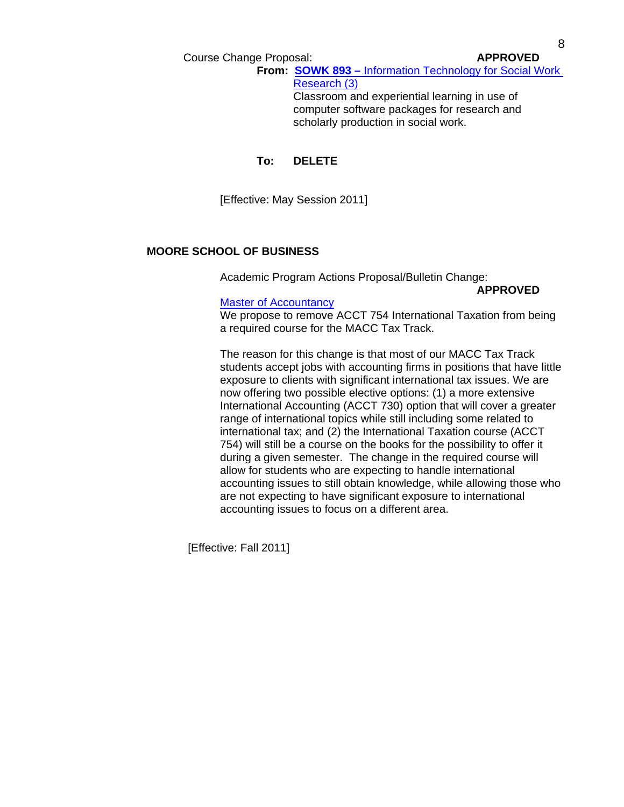**From: SOWK 893 –** [Information Technology for Social Work](http://gradschool.sc.edu/gradcouncil/curr_docs/CCPSOWK893_201111.pdf)   [Research \(3\)](http://gradschool.sc.edu/gradcouncil/curr_docs/CCPSOWK893_201111.pdf) Classroom and experiential learning in use of computer software packages for research and

scholarly production in social work.

#### **To: DELETE**

[Effective: May Session 2011]

## **MOORE SCHOOL OF BUSINESS**

Academic Program Actions Proposal/Bulletin Change:

 **APPROVED**

#### [Master of Accountancy](http://gradschool.sc.edu/gradcouncil/curr_docs/APAMACCProgram_201111.pdf)

 We propose to remove ACCT 754 International Taxation from being a required course for the MACC Tax Track.

 The reason for this change is that most of our MACC Tax Track students accept jobs with accounting firms in positions that have little exposure to clients with significant international tax issues. We are now offering two possible elective options: (1) a more extensive International Accounting (ACCT 730) option that will cover a greater range of international topics while still including some related to international tax; and (2) the International Taxation course (ACCT 754) will still be a course on the books for the possibility to offer it during a given semester. The change in the required course will allow for students who are expecting to handle international accounting issues to still obtain knowledge, while allowing those who are not expecting to have significant exposure to international accounting issues to focus on a different area.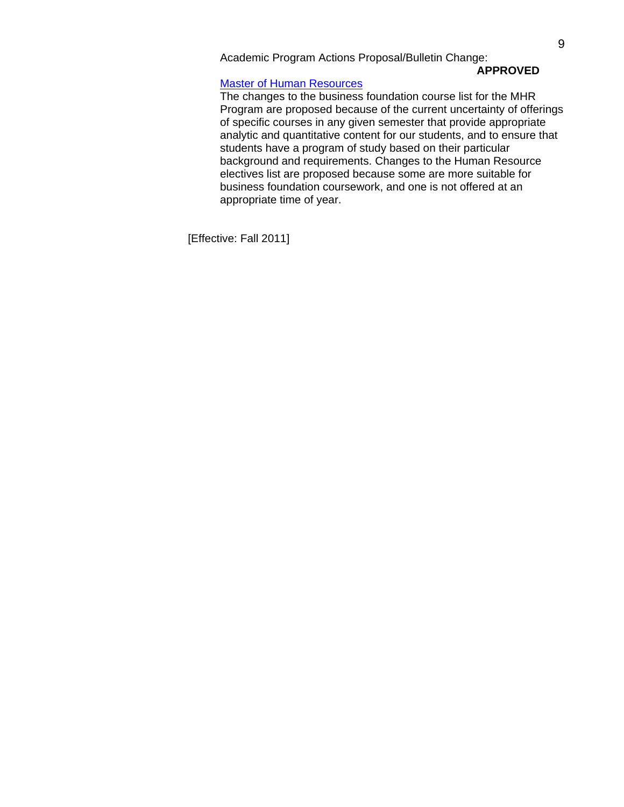Academic Program Actions Proposal/Bulletin Change:

# **APPROVED**

#### [Master of Human Resources](http://gradschool.sc.edu/gradcouncil/curr_docs/APAMSHumanResources_201111.pdf)

 The changes to the business foundation course list for the MHR Program are proposed because of the current uncertainty of offerings of specific courses in any given semester that provide appropriate analytic and quantitative content for our students, and to ensure that students have a program of study based on their particular background and requirements. Changes to the Human Resource electives list are proposed because some are more suitable for business foundation coursework, and one is not offered at an appropriate time of year.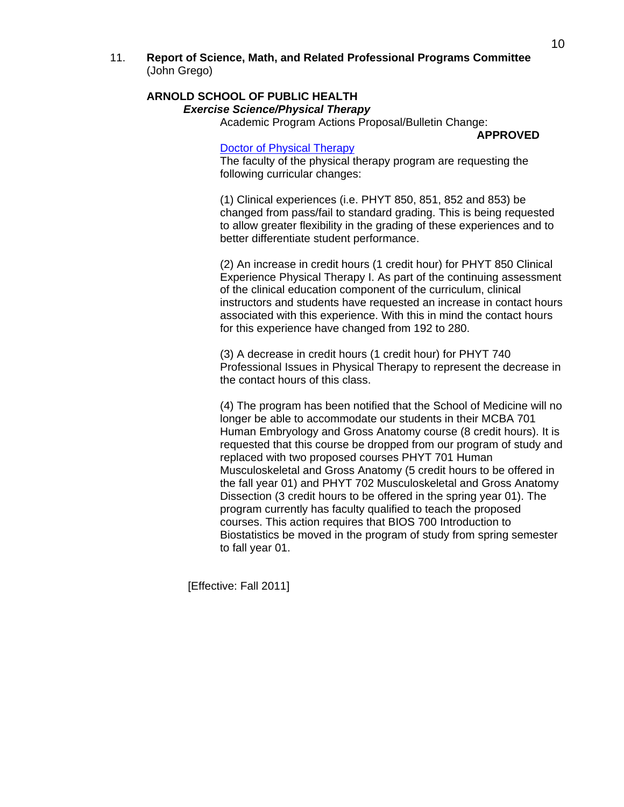11. **Report of Science, Math, and Related Professional Programs Committee** (John Grego)

## **ARNOLD SCHOOL OF PUBLIC HEALTH**   *Exercise Science/Physical Therapy*

Academic Program Actions Proposal/Bulletin Change:

 **APPROVED**

#### [Doctor of Physical Therapy](http://gradschool.sc.edu/gradcouncil/curr_docs/APAPhDPhysicalTherapy_201111.pdf)

 The faculty of the physical therapy program are requesting the following curricular changes:

 (1) Clinical experiences (i.e. PHYT 850, 851, 852 and 853) be changed from pass/fail to standard grading. This is being requested to allow greater flexibility in the grading of these experiences and to better differentiate student performance.

 (2) An increase in credit hours (1 credit hour) for PHYT 850 Clinical Experience Physical Therapy I. As part of the continuing assessment of the clinical education component of the curriculum, clinical instructors and students have requested an increase in contact hours associated with this experience. With this in mind the contact hours for this experience have changed from 192 to 280.

 (3) A decrease in credit hours (1 credit hour) for PHYT 740 Professional Issues in Physical Therapy to represent the decrease in the contact hours of this class.

 (4) The program has been notified that the School of Medicine will no longer be able to accommodate our students in their MCBA 701 Human Embryology and Gross Anatomy course (8 credit hours). It is requested that this course be dropped from our program of study and replaced with two proposed courses PHYT 701 Human Musculoskeletal and Gross Anatomy (5 credit hours to be offered in the fall year 01) and PHYT 702 Musculoskeletal and Gross Anatomy Dissection (3 credit hours to be offered in the spring year 01). The program currently has faculty qualified to teach the proposed courses. This action requires that BIOS 700 Introduction to Biostatistics be moved in the program of study from spring semester to fall year 01.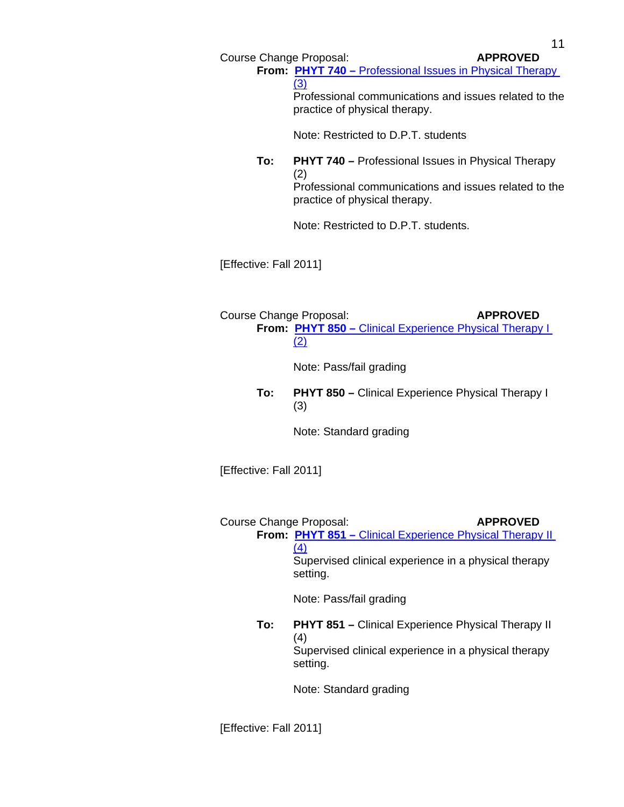11

Course Change Proposal: **APPROVED** 

**From: PHYT 740 – Professional Issues in Physical Therapy**  [\(3\)](http://gradschool.sc.edu/gradcouncil/curr_docs/CCPPHYT740_201111.pdf) Professional communications and issues related to the

Note: Restricted to D.P.T. students

practice of physical therapy.

**To: PHYT 740 –** Professional Issues in Physical Therapy (2) Professional communications and issues related to the practice of physical therapy.

Note: Restricted to D.P.T. students.

[Effective: Fall 2011]

Course Change Proposal: **APPROVED From: PHYT 850 –** [Clinical Experience Physical Therapy I](http://gradschool.sc.edu/gradcouncil/curr_docs/CCPPHYT850_201111.pdf)   [\(2\)](http://gradschool.sc.edu/gradcouncil/curr_docs/CCPPHYT850_201111.pdf)

Note: Pass/fail grading

**To: PHYT 850 –** Clinical Experience Physical Therapy I (3)

Note: Standard grading

[Effective: Fall 2011]

Course Change Proposal: **APPROVED** 

**From: PHYT 851 –** [Clinical Experience Physical Therapy II](http://gradschool.sc.edu/gradcouncil/curr_docs/CCPPHYT851_201111.pdf)   [\(4\)](http://gradschool.sc.edu/gradcouncil/curr_docs/CCPPHYT851_201111.pdf) Supervised clinical experience in a physical therapy setting.

Note: Pass/fail grading

**To: PHYT 851 –** Clinical Experience Physical Therapy II (4) Supervised clinical experience in a physical therapy setting.

Note: Standard grading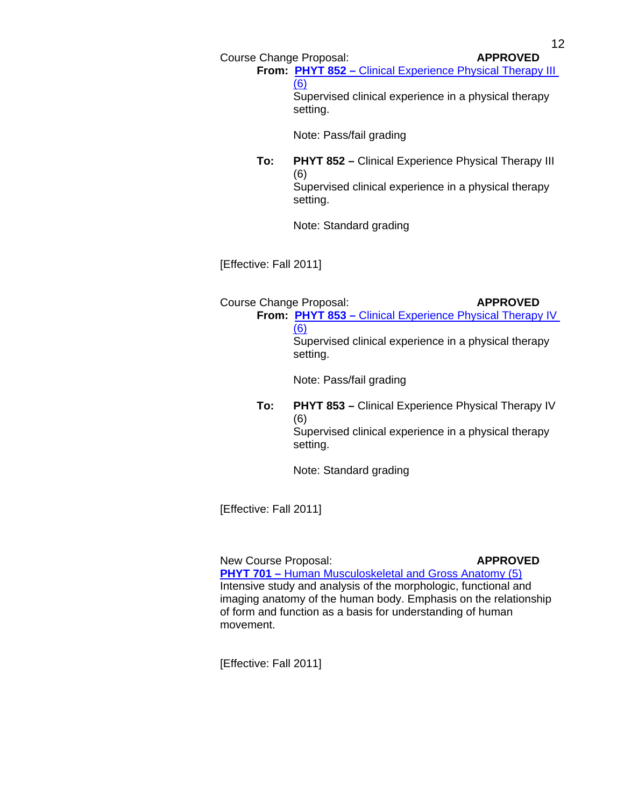**From: PHYT 852 –** [Clinical Experience Physical Therapy III](http://gradschool.sc.edu/gradcouncil/curr_docs/CCPPHYT852_201111.pdf)   [\(6\)](http://gradschool.sc.edu/gradcouncil/curr_docs/CCPPHYT852_201111.pdf) Supervised clinical experience in a physical therapy setting.

Note: Pass/fail grading

**To: PHYT 852 –** Clinical Experience Physical Therapy III (6) Supervised clinical experience in a physical therapy setting.

Note: Standard grading

[Effective: Fall 2011]

Course Change Proposal: **APPROVED From: PHYT 853 –** [Clinical Experience Physical Therapy IV](http://gradschool.sc.edu/gradcouncil/curr_docs/CCPPHYT853_201111.pdf)   [\(6\)](http://gradschool.sc.edu/gradcouncil/curr_docs/CCPPHYT853_201111.pdf)

> Supervised clinical experience in a physical therapy setting.

Note: Pass/fail grading

**To: PHYT 853 –** Clinical Experience Physical Therapy IV (6) Supervised clinical experience in a physical therapy setting.

Note: Standard grading

[Effective: Fall 2011]

New Course Proposal: **APPROVED PHYT 701 – [Human Musculoskeletal and Gross Anatomy \(5\)](http://gradschool.sc.edu/gradcouncil/curr_docs/NCPPHYT701_201111.pdf)** Intensive study and analysis of the morphologic, functional and imaging anatomy of the human body. Emphasis on the relationship of form and function as a basis for understanding of human movement.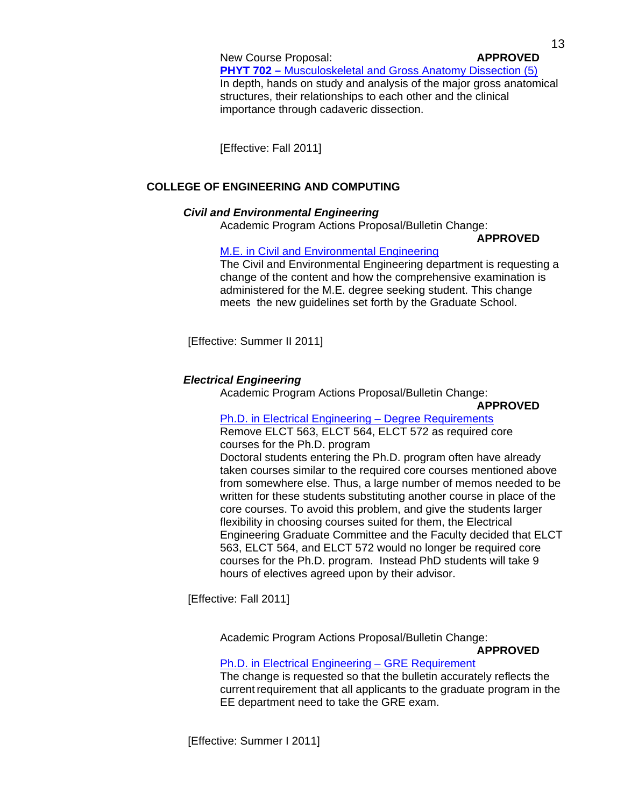New Course Proposal: **APPROVED PHYT 702 –** [Musculoskeletal and Gross Anatomy Dissection \(5\)](http://gradschool.sc.edu/gradcouncil/curr_docs/NCPPHYT702_201111.pdf) In depth, hands on study and analysis of the major gross anatomical structures, their relationships to each other and the clinical importance through cadaveric dissection.

[Effective: Fall 2011]

## **COLLEGE OF ENGINEERING AND COMPUTING**

## *Civil and Environmental Engineering*

Academic Program Actions Proposal/Bulletin Change:

## **APPROVED**

## [M.E. in Civil and Environmental Engineering](http://gradschool.sc.edu/gradcouncil/curr_docs/APACivilandEnvironmentalEngineeringComp_201111.pdf)

 The Civil and Environmental Engineering department is requesting a change of the content and how the comprehensive examination is administered for the M.E. degree seeking student. This change meets the new guidelines set forth by the Graduate School.

[Effective: Summer II 2011]

## *Electrical Engineering*

Academic Program Actions Proposal/Bulletin Change:

 **APPROVED**

#### [Ph.D. in Electrical Engineering – Degree Requirements](http://gradschool.sc.edu/gradcouncil/curr_docs/APAPHDElectricalEngineeringDegreeReq_201111.pdf) Remove ELCT 563, ELCT 564, ELCT 572 as required core courses for the Ph.D. program

 Doctoral students entering the Ph.D. program often have already taken courses similar to the required core courses mentioned above from somewhere else. Thus, a large number of memos needed to be written for these students substituting another course in place of the core courses. To avoid this problem, and give the students larger flexibility in choosing courses suited for them, the Electrical Engineering Graduate Committee and the Faculty decided that ELCT 563, ELCT 564, and ELCT 572 would no longer be required core courses for the Ph.D. program. Instead PhD students will take 9 hours of electives agreed upon by their advisor.

[Effective: Fall 2011]

Academic Program Actions Proposal/Bulletin Change:

## **APPROVED**

# [Ph.D. in Electrical Engineering – GRE Requirement](http://gradschool.sc.edu/gradcouncil/curr_docs/APAPHDElectricalEngineeringGRE_201111.pdf)

 The change is requested so that the bulletin accurately reflects the current requirement that all applicants to the graduate program in the EE department need to take the GRE exam.

[Effective: Summer I 2011]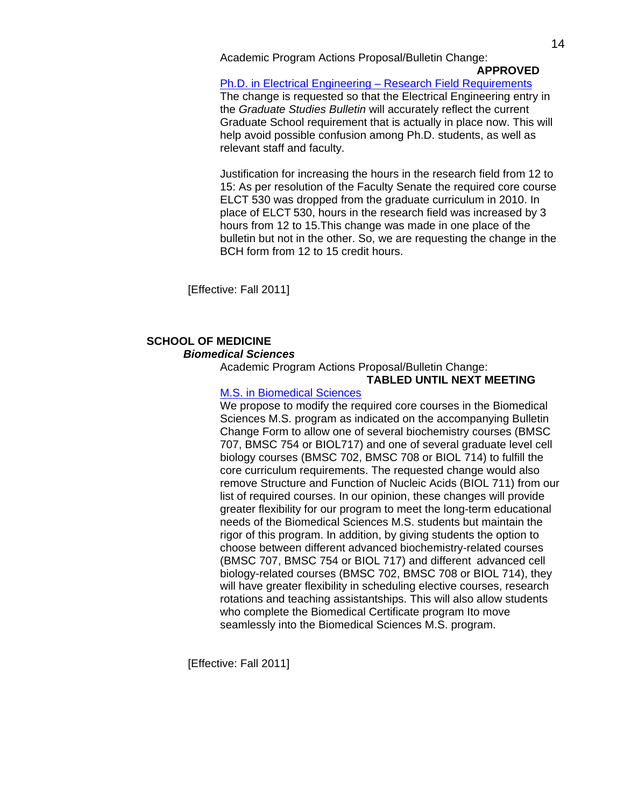Academic Program Actions Proposal/Bulletin Change:

 **APPROVED**

[Ph.D. in Electrical Engineering – Research Field Requirements](http://gradschool.sc.edu/gradcouncil/curr_docs/APAPHDElectricalEngineering_201111.pdf)

The change is requested so that the Electrical Engineering entry in the *Graduate Studies Bulletin* will accurately reflect the current Graduate School requirement that is actually in place now. This will help avoid possible confusion among Ph.D. students, as well as relevant staff and faculty.

 Justification for increasing the hours in the research field from 12 to 15: As per resolution of the Faculty Senate the required core course ELCT 530 was dropped from the graduate curriculum in 2010. In place of ELCT 530, hours in the research field was increased by 3 hours from 12 to 15.This change was made in one place of the bulletin but not in the other. So, we are requesting the change in the BCH form from 12 to 15 credit hours.

[Effective: Fall 2011]

## **SCHOOL OF MEDICINE**   *Biomedical Sciences*

Academic Program Actions Proposal/Bulletin Change:

#### **TABLED UNTIL NEXT MEETING**

## [M.S. in Biomedical Sciences](http://gradschool.sc.edu/gradcouncil/curr_docs/APAMSBiomedicalSciences_201111.pdf)

 We propose to modify the required core courses in the Biomedical Sciences M.S. program as indicated on the accompanying Bulletin Change Form to allow one of several biochemistry courses (BMSC 707, BMSC 754 or BIOL717) and one of several graduate level cell biology courses (BMSC 702, BMSC 708 or BIOL 714) to fulfill the core curriculum requirements. The requested change would also remove Structure and Function of Nucleic Acids (BIOL 711) from our list of required courses. In our opinion, these changes will provide greater flexibility for our program to meet the long-term educational needs of the Biomedical Sciences M.S. students but maintain the rigor of this program. In addition, by giving students the option to choose between different advanced biochemistry-related courses (BMSC 707, BMSC 754 or BIOL 717) and different advanced cell biology-related courses (BMSC 702, BMSC 708 or BIOL 714), they will have greater flexibility in scheduling elective courses, research rotations and teaching assistantships. This will also allow students who complete the Biomedical Certificate program Ito move seamlessly into the Biomedical Sciences M.S. program.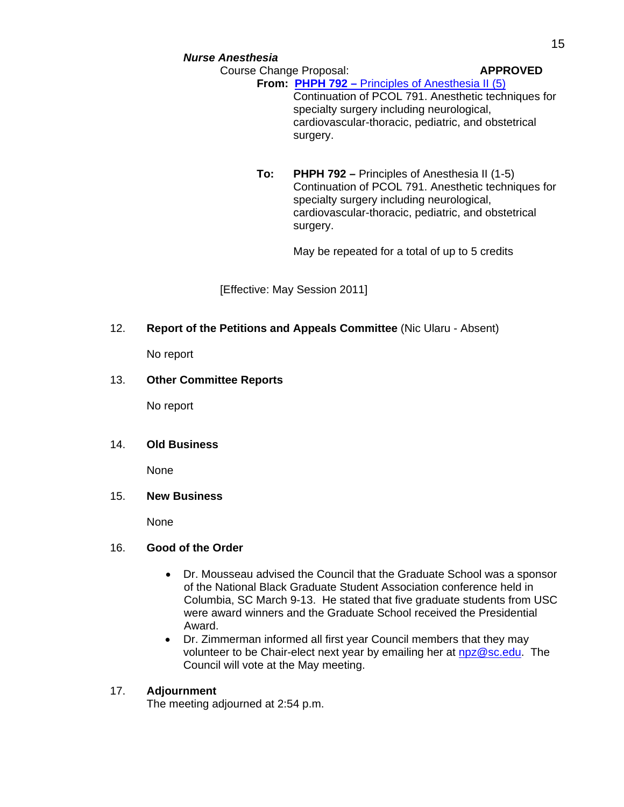**From: PHPH 792 –** [Principles of Anesthesia II \(5\)](http://gradschool.sc.edu/gradcouncil/curr_docs/CCPPHPH792_201111.pdf) Continuation of PCOL 791. Anesthetic techniques for specialty surgery including neurological, cardiovascular-thoracic, pediatric, and obstetrical surgery.

**To: PHPH 792 –** Principles of Anesthesia II (1-5) Continuation of PCOL 791. Anesthetic techniques for specialty surgery including neurological, cardiovascular-thoracic, pediatric, and obstetrical surgery.

May be repeated for a total of up to 5 credits

[Effective: May Session 2011]

## 12. **Report of the Petitions and Appeals Committee** (Nic Ularu - Absent)

No report

## 13. **Other Committee Reports**

No report

## 14. **Old Business**

None

## 15. **New Business**

None

#### 16. **Good of the Order**

- Dr. Mousseau advised the Council that the Graduate School was a sponsor of the National Black Graduate Student Association conference held in Columbia, SC March 9-13. He stated that five graduate students from USC were award winners and the Graduate School received the Presidential Award.
- Dr. Zimmerman informed all first year Council members that they may volunteer to be Chair-elect next year by emailing her at [npz@sc.edu.](mailto:npz@sc.edu) The Council will vote at the May meeting.

## 17. **Adjournment**

The meeting adjourned at 2:54 p.m.